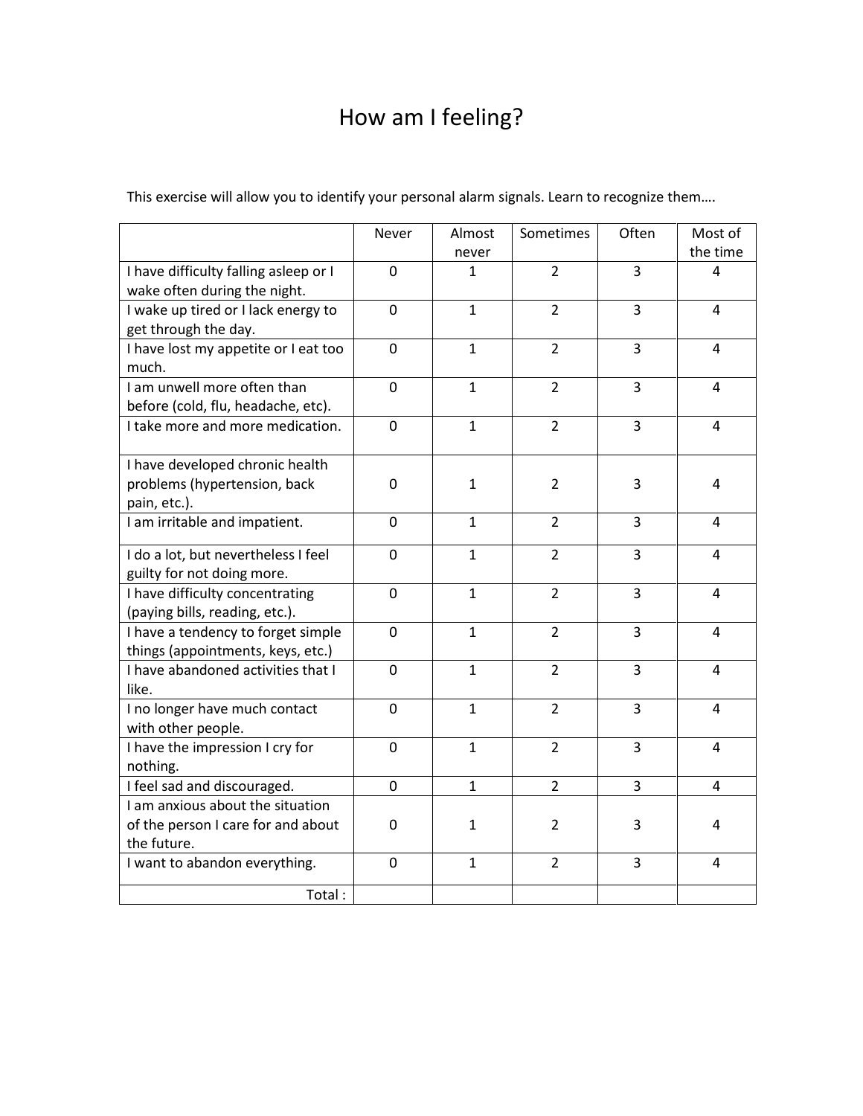## How am I feeling?

|  |  |  |  |  | This exercise will allow you to identify your personal alarm signals. Learn to recognize them |  |
|--|--|--|--|--|-----------------------------------------------------------------------------------------------|--|
|  |  |  |  |  |                                                                                               |  |

|                                                                                       | Never            | Almost<br>never | Sometimes      | Often          | Most of<br>the time |  |  |
|---------------------------------------------------------------------------------------|------------------|-----------------|----------------|----------------|---------------------|--|--|
| I have difficulty falling asleep or I<br>wake often during the night.                 | $\mathbf 0$      | 1               | $\overline{2}$ | $\overline{3}$ | 4                   |  |  |
| I wake up tired or I lack energy to<br>get through the day.                           | $\overline{0}$   | $\mathbf{1}$    | $\overline{2}$ | 3              | 4                   |  |  |
| I have lost my appetite or I eat too<br>much.                                         | $\overline{0}$   | $\mathbf{1}$    | $\overline{2}$ | 3              | 4                   |  |  |
| I am unwell more often than<br>before (cold, flu, headache, etc).                     | $\mathbf 0$      | $\mathbf{1}$    | $\overline{2}$ | 3              | 4                   |  |  |
| I take more and more medication.                                                      | $\boldsymbol{0}$ | $\mathbf{1}$    | $\overline{2}$ | 3              | 4                   |  |  |
| I have developed chronic health<br>problems (hypertension, back<br>pain, etc.).       | 0                | $\mathbf{1}$    | $\overline{2}$ | 3              | 4                   |  |  |
| I am irritable and impatient.                                                         | $\overline{0}$   | $\mathbf{1}$    | $\overline{2}$ | 3              | 4                   |  |  |
| I do a lot, but nevertheless I feel<br>guilty for not doing more.                     | $\mathbf 0$      | $\mathbf{1}$    | $\overline{2}$ | 3              | 4                   |  |  |
| I have difficulty concentrating<br>(paying bills, reading, etc.).                     | $\mathbf 0$      | $\mathbf{1}$    | $\overline{2}$ | 3              | 4                   |  |  |
| I have a tendency to forget simple<br>things (appointments, keys, etc.)               | 0                | $\mathbf{1}$    | $\overline{2}$ | 3              | 4                   |  |  |
| I have abandoned activities that I<br>like.                                           | 0                | $\mathbf{1}$    | $\overline{2}$ | 3              | 4                   |  |  |
| I no longer have much contact<br>with other people.                                   | 0                | $\mathbf{1}$    | $\overline{2}$ | 3              | 4                   |  |  |
| I have the impression I cry for<br>nothing.                                           | $\overline{0}$   | $\mathbf{1}$    | $\overline{2}$ | 3              | 4                   |  |  |
| I feel sad and discouraged.                                                           | $\overline{0}$   | $\mathbf{1}$    | $\overline{2}$ | 3              | 4                   |  |  |
| I am anxious about the situation<br>of the person I care for and about<br>the future. | $\boldsymbol{0}$ | $\mathbf{1}$    | $\overline{2}$ | 3              | 4                   |  |  |
| I want to abandon everything.                                                         | $\mathbf 0$      | $\mathbf{1}$    | $\overline{2}$ | 3              | 4                   |  |  |
| Total:                                                                                |                  |                 |                |                |                     |  |  |